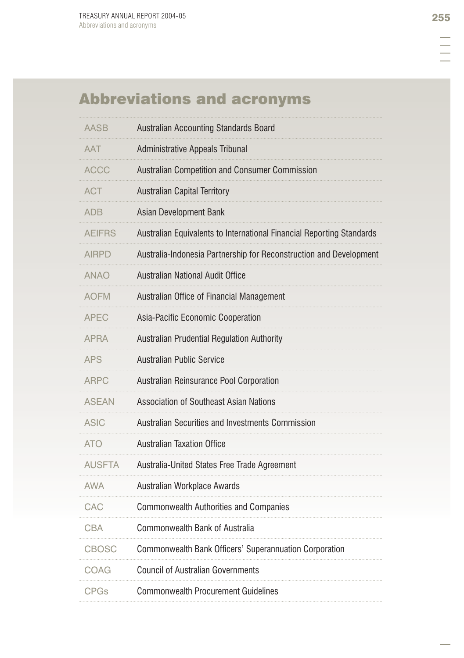# Abbreviations and acronyms

| <b>AASB</b>   | Australian Accounting Standards Board                                 |
|---------------|-----------------------------------------------------------------------|
| <b>AAT</b>    | Administrative Appeals Tribunal                                       |
| <b>ACCC</b>   | Australian Competition and Consumer Commission                        |
| ACT           | <b>Australian Capital Territory</b>                                   |
| <b>ADB</b>    | Asian Development Bank                                                |
| AEIFRS        | Australian Equivalents to International Financial Reporting Standards |
| AIRPD         | Australia-Indonesia Partnership for Reconstruction and Development    |
| <b>ANAO</b>   | Australian National Audit Office                                      |
| <b>AOFM</b>   | Australian Office of Financial Management                             |
| <b>APEC</b>   | Asia-Pacific Economic Cooperation                                     |
| <b>APRA</b>   | Australian Prudential Regulation Authority                            |
| <b>APS</b>    | <b>Australian Public Service</b>                                      |
| ARPC          | Australian Reinsurance Pool Corporation                               |
| <b>ASEAN</b>  | <b>Association of Southeast Asian Nations</b>                         |
| <b>ASIC</b>   | Australian Securities and Investments Commission                      |
| <b>ATO</b>    | <b>Australian Taxation Office</b>                                     |
| <b>AUSFTA</b> | Australia-United States Free Trade Agreement                          |
| <b>AWA</b>    | Australian Workplace Awards                                           |
| CAC           | <b>Commonwealth Authorities and Companies</b>                         |
| <b>CBA</b>    | <b>Commonwealth Bank of Australia</b>                                 |
| <b>CBOSC</b>  | Commonwealth Bank Officers' Superannuation Corporation                |
| COAG          | <b>Council of Australian Governments</b>                              |
| <b>CPGs</b>   | <b>Commonwealth Procurement Guidelines</b>                            |

E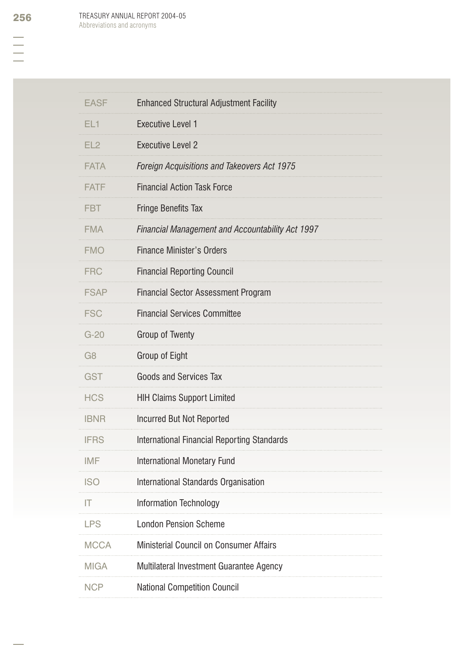| <b>EASF</b>     | <b>Enhanced Structural Adjustment Facility</b>     |
|-----------------|----------------------------------------------------|
| EL <sub>1</sub> | <b>Executive Level 1</b>                           |
| EL <sub>2</sub> | <b>Executive Level 2</b>                           |
| FATA            | Foreign Acquisitions and Takeovers Act 1975        |
| <b>FATF</b>     | <b>Financial Action Task Force</b>                 |
| <b>FBT</b>      | <b>Fringe Benefits Tax</b>                         |
| <b>FMA</b>      | Financial Management and Accountability Act 1997   |
| <b>FMO</b>      | <b>Finance Minister's Orders</b>                   |
| FRC             | <b>Financial Reporting Council</b>                 |
| <b>FSAP</b>     | <b>Financial Sector Assessment Program</b>         |
| <b>FSC</b>      | <b>Financial Services Committee</b>                |
| $G-20$          | Group of Twenty                                    |
| G <sub>8</sub>  | Group of Eight                                     |
| <b>GST</b>      | <b>Goods and Services Tax</b>                      |
| <b>HCS</b>      | <b>HIH Claims Support Limited</b>                  |
| <b>IBNR</b>     | Incurred But Not Reported                          |
| <b>IFRS</b>     | <b>International Financial Reporting Standards</b> |
| IMF             | <b>International Monetary Fund</b>                 |
| <b>ISO</b>      | International Standards Organisation               |
| Ш               | Information Technology                             |
| <b>LPS</b>      | <b>London Pension Scheme</b>                       |
| <b>MCCA</b>     | Ministerial Council on Consumer Affairs            |
| <b>MIGA</b>     | Multilateral Investment Guarantee Agency           |
| <b>NCP</b>      | <b>National Competition Council</b>                |
|                 |                                                    |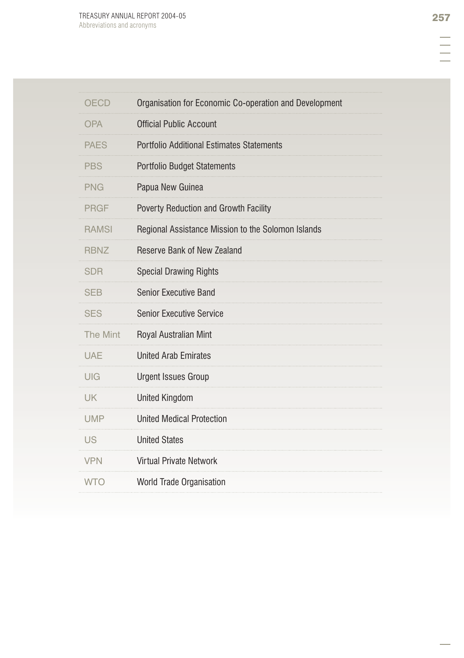| <b>OECD</b>     | Organisation for Economic Co-operation and Development |
|-----------------|--------------------------------------------------------|
| <b>OPA</b>      | <b>Official Public Account</b>                         |
| <b>PAES</b>     | <b>Portfolio Additional Estimates Statements</b>       |
| <b>PBS</b>      | <b>Portfolio Budget Statements</b>                     |
| <b>PNG</b>      | Papua New Guinea                                       |
| <b>PRGF</b>     | Poverty Reduction and Growth Facility                  |
| <b>RAMSI</b>    | Regional Assistance Mission to the Solomon Islands     |
| <b>RBNZ</b>     | Reserve Bank of New Zealand                            |
| <b>SDR</b>      | <b>Special Drawing Rights</b>                          |
| <b>SEB</b>      | <b>Senior Executive Band</b>                           |
| <b>SES</b>      | <b>Senior Executive Service</b>                        |
| <b>The Mint</b> | Royal Australian Mint                                  |
| <b>UAE</b>      | <b>United Arab Emirates</b>                            |
| UIG             | <b>Urgent Issues Group</b>                             |
| <b>UK</b>       | <b>United Kingdom</b>                                  |
| UMP             | <b>United Medical Protection</b>                       |
| <b>US</b>       | <b>United States</b>                                   |
| <b>VPN</b>      | <b>Virtual Private Network</b>                         |
| <b>WTO</b>      | World Trade Organisation                               |
|                 |                                                        |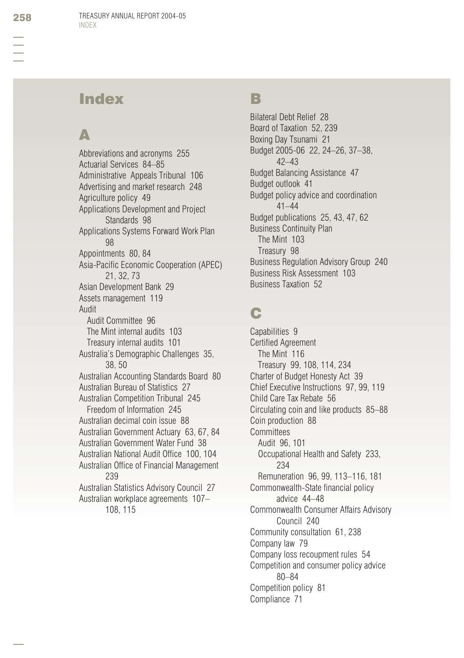## Index

# $\blacktriangle$

Abbreviations and acronyms 255 Actuarial Services 84–85 Administrative Appeals Tribunal 106 Advertising and market research 248 Agriculture policy 49 Applications Development and Project Standards 98 Applications Systems Forward Work Plan 98 Appointments 80, 84 Asia-Pacific Economic Cooperation (APEC) 21, 32, 73 Asian Development Bank 29 Assets management 119 Audit Audit Committee 96 The Mint internal audits 103 Treasury internal audits 101 Australia's Demographic Challenges 35, 38, 50 Australian Accounting Standards Board 80 Australian Bureau of Statistics 27 Australian Competition Tribunal 245 Freedom of Information 245 Australian decimal coin issue 88 Australian Government Actuary 63, 67, 84 Australian Government Water Fund 38 Australian National Audit Office 100, 104 Australian Office of Financial Management 239 Australian Statistics Advisory Council 27 Australian workplace agreements 107– 108, 115

#### B

Bilateral Debt Relief 28 Board of Taxation 52, 239 Boxing Day Tsunami 21 Budget 2005-06 22, 24–26, 37–38, 42–43 Budget Balancing Assistance 47 Budget outlook 41 Budget policy advice and coordination 41–44 Budget publications 25, 43, 47, 62 Business Continuity Plan The Mint 103 Treasury 98 Business Regulation Advisory Group 240 Business Risk Assessment 103 Business Taxation 52

# C

Capabilities 9 **Certified Agreement** The Mint 116 Treasury 99, 108, 114, 234 Charter of Budget Honesty Act 39 Chief Executive Instructions 97, 99, 119 Child Care Tax Rebate 56 Circulating coin and like products 85–88 Coin production 88 **Committees** Audit 96, 101 Occupational Health and Safety 233, 234 Remuneration 96, 99, 113–116, 181 Commonwealth-State financial policy advice 44–48 Commonwealth Consumer Affairs Advisory Council 240 Community consultation 61, 238 Company law 79 Company loss recoupment rules 54 Competition and consumer policy advice 80–84 Competition policy 81 Compliance 71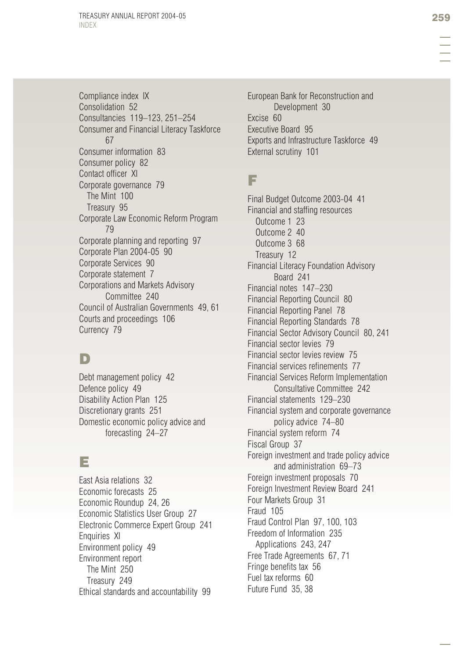Compliance index IX Consolidation 52 Consultancies 119–123, 251–254 Consumer and Financial Literacy Taskforce 67 Consumer information 83 Consumer policy 82 Contact officer XI Corporate governance 79 The Mint 100 Treasury 95 Corporate Law Economic Reform Program 79 Corporate planning and reporting 97 Corporate Plan 2004-05 90 Corporate Services 90 Corporate statement 7 Corporations and Markets Advisory Committee 240 Council of Australian Governments 49, 61 Courts and proceedings 106 Currency 79

## D

Debt management policy 42 Defence policy 49 Disability Action Plan 125 Discretionary grants 251 Domestic economic policy advice and forecasting 24–27

## E

East Asia relations 32 Economic forecasts 25 Economic Roundup 24, 26 Economic Statistics User Group 27 Electronic Commerce Expert Group 241 Enquiries XI Environment policy 49 Environment report The Mint 250 Treasury 249 Ethical standards and accountability 99

European Bank for Reconstruction and Development 30 Excise 60 Executive Board 95 Exports and Infrastructure Taskforce 49 External scrutiny 101

#### F

Final Budget Outcome 2003-04 41 Financial and staffing resources Outcome 1 23 Outcome 2 40 Outcome 3 68 Treasury 12 Financial Literacy Foundation Advisory Board 241 Financial notes 147–230 Financial Reporting Council 80 Financial Reporting Panel 78 Financial Reporting Standards 78 Financial Sector Advisory Council 80, 241 Financial sector levies 79 Financial sector levies review 75 Financial services refinements 77 Financial Services Reform Implementation Consultative Committee 242 Financial statements 129–230 Financial system and corporate governance policy advice 74–80 Financial system reform 74 Fiscal Group 37 Foreign investment and trade policy advice and administration 69–73 Foreign investment proposals 70 Foreign Investment Review Board 241 Four Markets Group 31 Fraud 105 Fraud Control Plan 97, 100, 103 Freedom of Information 235 Applications 243, 247 Free Trade Agreements 67, 71 Fringe benefits tax 56 Fuel tax reforms 60 Future Fund 35, 38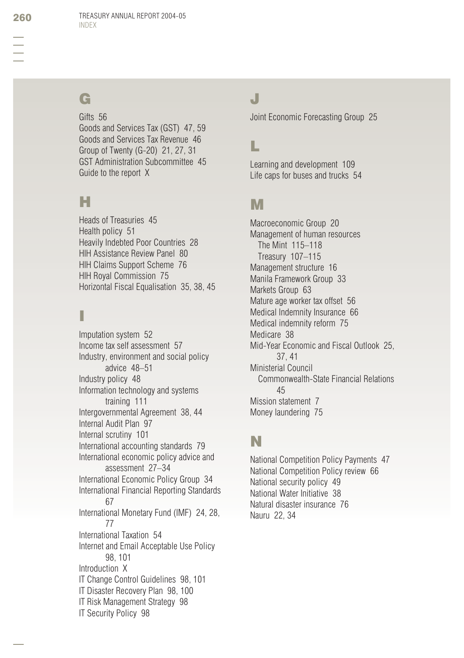# G

Gifts 56 Goods and Services Tax (GST) 47, 59 Goods and Services Tax Revenue 46 Group of Twenty (G-20) 21, 27, 31 GST Administration Subcommittee 45 Guide to the report X

## H

Heads of Treasuries 45 Health policy 51 Heavily Indebted Poor Countries 28 HIH Assistance Review Panel 80 HIH Claims Support Scheme 76 HIH Royal Commission 75 Horizontal Fiscal Equalisation 35, 38, 45

# I

Imputation system 52 Income tax self assessment 57 Industry, environment and social policy advice 48–51 Industry policy 48 Information technology and systems training 111 Intergovernmental Agreement 38, 44 Internal Audit Plan 97 Internal scrutiny 101 International accounting standards 79 International economic policy advice and assessment 27–34 International Economic Policy Group 34 International Financial Reporting Standards 67 International Monetary Fund (IMF) 24, 28, 77 International Taxation 54 Internet and Email Acceptable Use Policy 98, 101 Introduction X IT Change Control Guidelines 98, 101 IT Disaster Recovery Plan 98, 100 IT Risk Management Strategy 98 IT Security Policy 98

## J

Joint Economic Forecasting Group 25

#### L

Learning and development 109 Life caps for buses and trucks 54

#### M

Macroeconomic Group 20 Management of human resources The Mint 115–118 Treasury 107–115 Management structure 16 Manila Framework Group 33 Markets Group 63 Mature age worker tax offset 56 Medical Indemnity Insurance 66 Medical indemnity reform 75 Medicare 38 Mid-Year Economic and Fiscal Outlook 25, 37, 41 Ministerial Council Commonwealth-State Financial Relations 45 Mission statement 7 Money laundering 75

#### N

National Competition Policy Payments 47 National Competition Policy review 66 National security policy 49 National Water Initiative 38 Natural disaster insurance 76 Nauru 22, 34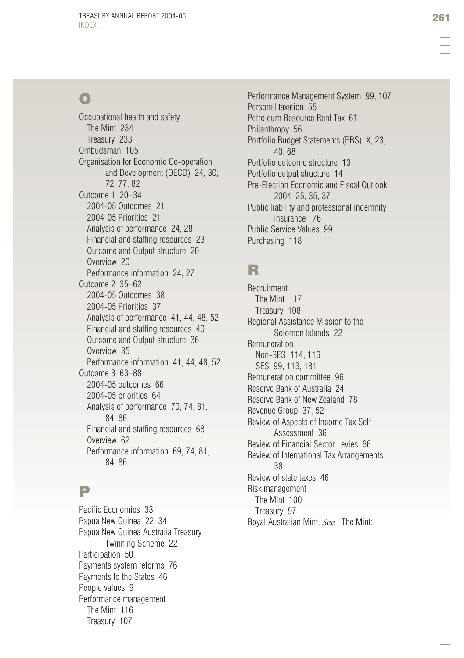# O

Occupational health and safety The Mint 234 Treasury 233 Ombudsman 105 Organisation for Economic Co-operation and Development (OECD) 24, 30, 72, 77, 82 Outcome 1 20–34 2004-05 Outcomes 21 2004-05 Priorities 21 Analysis of performance 24, 28 Financial and staffing resources 23 Outcome and Output structure 20 Overview 20 Performance information 24, 27 Outcome 2 35–62 2004-05 Outcomes 38 2004-05 Priorities 37 Analysis of performance 41, 44, 48, 52 Financial and staffing resources 40 Outcome and Output structure 36 Overview 35 Performance information 41, 44, 48, 52 Outcome 3 63–88 2004-05 outcomes 66 2004-05 priorities 64 Analysis of performance 70, 74, 81, 84, 86 Financial and staffing resources 68 Overview 62 Performance information 69, 74, 81, 84, 86

#### P

Pacific Economies 33 Papua New Guinea 22, 34 Papua New Guinea Australia Treasury Twinning Scheme 22 Participation 50 Payments system reforms 76 Payments to the States 46 People values 9 Performance management The Mint 116 Treasury 107

Performance Management System 99, 107 Personal taxation 55 Petroleum Resource Rent Tax 61 Philanthropy 56 Portfolio Budget Statements (PBS) X, 23, 40, 68 Portfolio outcome structure 13 Portfolio output structure 14 Pre-Election Economic and Fiscal Outlook 2004 25, 35, 37 Public liability and professional indemnity insurance 76 Public Service Values 99 Purchasing 118

## R

Recruitment The Mint 117 Treasury 108 Regional Assistance Mission to the Solomon Islands 22 Remuneration Non-SES 114, 116 SES 99, 113, 181 Remuneration committee 96 Reserve Bank of Australia 24 Reserve Bank of New Zealand 78 Revenue Group 37, 52 Review of Aspects of Income Tax Self Assessment 36 Review of Financial Sector Levies 66 Review of International Tax Arrangements 38 Review of state taxes 46 Risk management The Mint 100 Treasury 97 Royal Australian Mint. *See* The Mint;